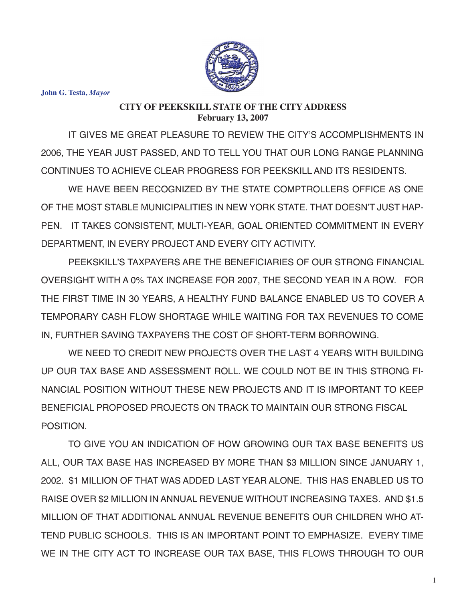

**John G. Testa,** *Mayor*

## **CITY OF PEEKSKILL STATE OF THE CITY ADDRESS February 13, 2007**

IT GIVES ME GREAT PLEASURE TO REVIEW THE CITY'S ACCOMPLISHMENTS IN 2006, THE YEAR JUST PASSED, AND TO TELL YOU THAT OUR LONG RANGE PLANNING CONTINUES TO ACHIEVE CLEAR PROGRESS FOR PEEKSKILL AND ITS RESIDENTS.

WE HAVE BEEN RECOGNIZED BY THE STATE COMPTROLLERS OFFICE AS ONE OF THE MOST STABLE MUNICIPALITIES IN NEW YORK STATE. THAT DOESN'T JUST HAP-PEN. IT TAKES CONSISTENT, MULTI-YEAR, GOAL ORIENTED COMMITMENT IN EVERY DEPARTMENT, IN EVERY PROJECT AND EVERY CITY ACTIVITY.

PEEKSKILL'S TAXPAYERS ARE THE BENEFICIARIES OF OUR STRONG FINANCIAL OVERSIGHT WITH A 0% TAX INCREASE FOR 2007, THE SECOND YEAR IN A ROW. FOR THE FIRST TIME IN 30 YEARS, A HEALTHY FUND BALANCE ENABLED US TO COVER A TEMPORARY CASH FLOW SHORTAGE WHILE WAITING FOR TAX REVENUES TO COME IN, FURTHER SAVING TAXPAYERS THE COST OF SHORT-TERM BORROWING.

WE NEED TO CREDIT NEW PROJECTS OVER THE LAST 4 YEARS WITH BUILDING UP OUR TAX BASE AND ASSESSMENT ROLL. WE COULD NOT BE IN THIS STRONG FI-NANCIAL POSITION WITHOUT THESE NEW PROJECTS AND IT IS IMPORTANT TO KEEP BENEFICIAL PROPOSED PROJECTS ON TRACK TO MAINTAIN OUR STRONG FISCAL POSITION.

TO GIVE YOU AN INDICATION OF HOW GROWING OUR TAX BASE BENEFITS US ALL, OUR TAX BASE HAS INCREASED BY MORE THAN \$3 MILLION SINCE JANUARY 1, 2002. \$1 MILLION OF THAT WAS ADDED LAST YEAR ALONE. THIS HAS ENABLED US TO RAISE OVER \$2 MILLION IN ANNUAL REVENUE WITHOUT INCREASING TAXES. AND \$1.5 MILLION OF THAT ADDITIONAL ANNUAL REVENUE BENEFITS OUR CHILDREN WHO AT-TEND PUBLIC SCHOOLS. THIS IS AN IMPORTANT POINT TO EMPHASIZE. EVERY TIME WE IN THE CITY ACT TO INCREASE OUR TAX BASE, THIS FLOWS THROUGH TO OUR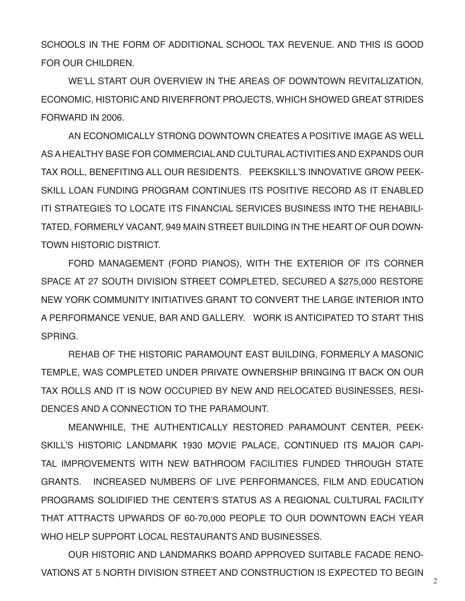SCHOOLS IN THE FORM OF ADDITIONAL SCHOOL TAX REVENUE. AND THIS IS GOOD FOR OUR CHILDREN.

WE'LL START OUR OVERVIEW IN THE AREAS OF DOWNTOWN REVITALIZATION, ECONOMIC, HISTORIC AND RIVERFRONT PROJECTS, WHICH SHOWED GREAT STRIDES FORWARD IN 2006.

AN ECONOMICALLY STRONG DOWNTOWN CREATES A POSITIVE IMAGE AS WELL AS A HEALTHY BASE FOR COMMERCIAL AND CULTURAL ACTIVITIES AND EXPANDS OUR TAX ROLL, BENEFITING ALL OUR RESIDENTS. PEEKSKILL'S INNOVATIVE GROW PEEK-SKILL LOAN FUNDING PROGRAM CONTINUES ITS POSITIVE RECORD AS IT ENABLED ITI STRATEGIES TO LOCATE ITS FINANCIAL SERVICES BUSINESS INTO THE REHABILI-TATED, FORMERLY VACANT, 949 MAIN STREET BUILDING IN THE HEART OF OUR DOWN-TOWN HISTORIC DISTRICT.

FORD MANAGEMENT (FORD PIANOS), WITH THE EXTERIOR OF ITS CORNER SPACE AT 27 SOUTH DIVISION STREET COMPLETED, SECURED A \$275,000 RESTORE NEW YORK COMMUNITY INITIATIVES GRANT TO CONVERT THE LARGE INTERIOR INTO A PERFORMANCE VENUE, BAR AND GALLERY. WORK IS ANTICIPATED TO START THIS **SPRING** 

REHAB OF THE HISTORIC PARAMOUNT EAST BUILDING, FORMERLY A MASONIC TEMPLE, WAS COMPLETED UNDER PRIVATE OWNERSHIP BRINGING IT BACK ON OUR TAX ROLLS AND IT IS NOW OCCUPIED BY NEW AND RELOCATED BUSINESSES, RESI-DENCES AND A CONNECTION TO THE PARAMOUNT.

MEANWHILE, THE AUTHENTICALLY RESTORED PARAMOUNT CENTER, PEEK-SKILL'S HISTORIC LANDMARK 1930 MOVIE PALACE, CONTINUED ITS MAJOR CAPI-TAL IMPROVEMENTS WITH NEW BATHROOM FACILITIES FUNDED THROUGH STATE GRANTS. INCREASED NUMBERS OF LIVE PERFORMANCES, FILM AND EDUCATION PROGRAMS SOLIDIFIED THE CENTER'S STATUS AS A REGIONAL CULTURAL FACILITY THAT ATTRACTS UPWARDS OF 60-70,000 PEOPLE TO OUR DOWNTOWN EACH YEAR WHO HELP SUPPORT LOCAL RESTAURANTS AND BUSINESSES.

OUR HISTORIC AND LANDMARKS BOARD APPROVED SUITABLE FACADE RENO-VATIONS AT 5 NORTH DIVISION STREET AND CONSTRUCTION IS EXPECTED TO BEGIN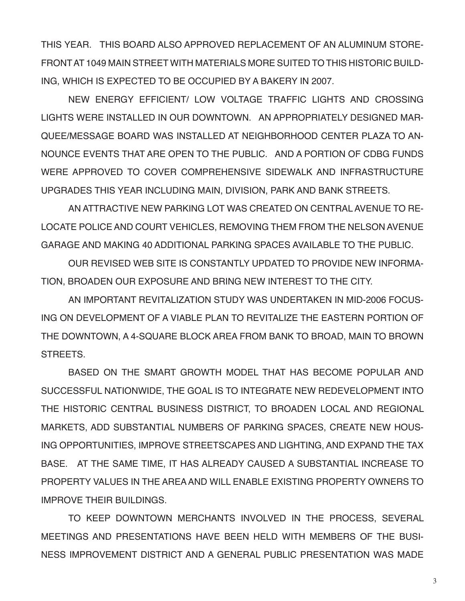THIS YEAR. THIS BOARD ALSO APPROVED REPLACEMENT OF AN ALUMINUM STORE-FRONT AT 1049 MAIN STREET WITH MATERIALS MORE SUITED TO THIS HISTORIC BUILD-ING, WHICH IS EXPECTED TO BE OCCUPIED BY A BAKERY IN 2007.

NEW ENERGY EFFICIENT/ LOW VOLTAGE TRAFFIC LIGHTS AND CROSSING LIGHTS WERE INSTALLED IN OUR DOWNTOWN. AN APPROPRIATELY DESIGNED MAR-QUEE/MESSAGE BOARD WAS INSTALLED AT NEIGHBORHOOD CENTER PLAZA TO AN-NOUNCE EVENTS THAT ARE OPEN TO THE PUBLIC. AND A PORTION OF CDBG FUNDS WERE APPROVED TO COVER COMPREHENSIVE SIDEWALK AND INFRASTRUCTURE UPGRADES THIS YEAR INCLUDING MAIN, DIVISION, PARK AND BANK STREETS.

AN ATTRACTIVE NEW PARKING LOT WAS CREATED ON CENTRAL AVENUE TO RE-LOCATE POLICE AND COURT VEHICLES, REMOVING THEM FROM THE NELSON AVENUE GARAGE AND MAKING 40 ADDITIONAL PARKING SPACES AVAILABLE TO THE PUBLIC.

OUR REVISED WEB SITE IS CONSTANTLY UPDATED TO PROVIDE NEW INFORMA-TION, BROADEN OUR EXPOSURE AND BRING NEW INTEREST TO THE CITY.

AN IMPORTANT REVITALIZATION STUDY WAS UNDERTAKEN IN MID-2006 FOCUS-ING ON DEVELOPMENT OF A VIABLE PLAN TO REVITALIZE THE EASTERN PORTION OF THE DOWNTOWN, A 4-SQUARE BLOCK AREA FROM BANK TO BROAD, MAIN TO BROWN STREETS.

BASED ON THE SMART GROWTH MODEL THAT HAS BECOME POPULAR AND SUCCESSFUL NATIONWIDE, THE GOAL IS TO INTEGRATE NEW REDEVELOPMENT INTO THE HISTORIC CENTRAL BUSINESS DISTRICT, TO BROADEN LOCAL AND REGIONAL MARKETS, ADD SUBSTANTIAL NUMBERS OF PARKING SPACES, CREATE NEW HOUS-ING OPPORTUNITIES, IMPROVE STREETSCAPES AND LIGHTING, AND EXPAND THE TAX BASE. AT THE SAME TIME, IT HAS ALREADY CAUSED A SUBSTANTIAL INCREASE TO PROPERTY VALUES IN THE AREA AND WILL ENABLE EXISTING PROPERTY OWNERS TO IMPROVE THEIR BUILDINGS.

TO KEEP DOWNTOWN MERCHANTS INVOLVED IN THE PROCESS, SEVERAL MEETINGS AND PRESENTATIONS HAVE BEEN HELD WITH MEMBERS OF THE BUSI-NESS IMPROVEMENT DISTRICT AND A GENERAL PUBLIC PRESENTATION WAS MADE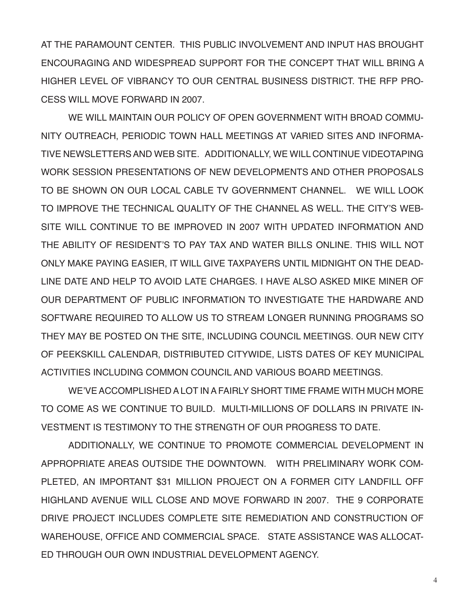AT THE PARAMOUNT CENTER. THIS PUBLIC INVOLVEMENT AND INPUT HAS BROUGHT ENCOURAGING AND WIDESPREAD SUPPORT FOR THE CONCEPT THAT WILL BRING A HIGHER LEVEL OF VIBRANCY TO OUR CENTRAL BUSINESS DISTRICT. THE RFP PRO-CESS WILL MOVE FORWARD IN 2007.

WE WILL MAINTAIN OUR POLICY OF OPEN GOVERNMENT WITH BROAD COMMU-NITY OUTREACH, PERIODIC TOWN HALL MEETINGS AT VARIED SITES AND INFORMA-TIVE NEWSLETTERS AND WEB SITE. ADDITIONALLY, WE WILL CONTINUE VIDEOTAPING WORK SESSION PRESENTATIONS OF NEW DEVELOPMENTS AND OTHER PROPOSALS TO BE SHOWN ON OUR LOCAL CABLE TV GOVERNMENT CHANNEL. WE WILL LOOK TO IMPROVE THE TECHNICAL QUALITY OF THE CHANNEL AS WELL. THE CITY'S WEB-SITE WILL CONTINUE TO BE IMPROVED IN 2007 WITH UPDATED INFORMATION AND THE ABILITY OF RESIDENT'S TO PAY TAX AND WATER BILLS ONLINE. THIS WILL NOT ONLY MAKE PAYING EASIER, IT WILL GIVE TAXPAYERS UNTIL MIDNIGHT ON THE DEAD-LINE DATE AND HELP TO AVOID LATE CHARGES. I HAVE ALSO ASKED MIKE MINER OF OUR DEPARTMENT OF PUBLIC INFORMATION TO INVESTIGATE THE HARDWARE AND SOFTWARE REQUIRED TO ALLOW US TO STREAM LONGER RUNNING PROGRAMS SO THEY MAY BE POSTED ON THE SITE, INCLUDING COUNCIL MEETINGS. OUR NEW CITY OF PEEKSKILL CALENDAR, DISTRIBUTED CITYWIDE, LISTS DATES OF KEY MUNICIPAL ACTIVITIES INCLUDING COMMON COUNCIL AND VARIOUS BOARD MEETINGS.

WE'VE ACCOMPLISHED A LOT IN A FAIRLY SHORT TIME FRAME WITH MUCH MORE TO COME AS WE CONTINUE TO BUILD. MULTI-MILLIONS OF DOLLARS IN PRIVATE IN-VESTMENT IS TESTIMONY TO THE STRENGTH OF OUR PROGRESS TO DATE.

ADDITIONALLY, WE CONTINUE TO PROMOTE COMMERCIAL DEVELOPMENT IN APPROPRIATE AREAS OUTSIDE THE DOWNTOWN. WITH PRELIMINARY WORK COM-PLETED, AN IMPORTANT \$31 MILLION PROJECT ON A FORMER CITY LANDFILL OFF HIGHLAND AVENUE WILL CLOSE AND MOVE FORWARD IN 2007. THE 9 CORPORATE DRIVE PROJECT INCLUDES COMPLETE SITE REMEDIATION AND CONSTRUCTION OF WAREHOUSE, OFFICE AND COMMERCIAL SPACE. STATE ASSISTANCE WAS ALLOCAT-ED THROUGH OUR OWN INDUSTRIAL DEVELOPMENT AGENCY.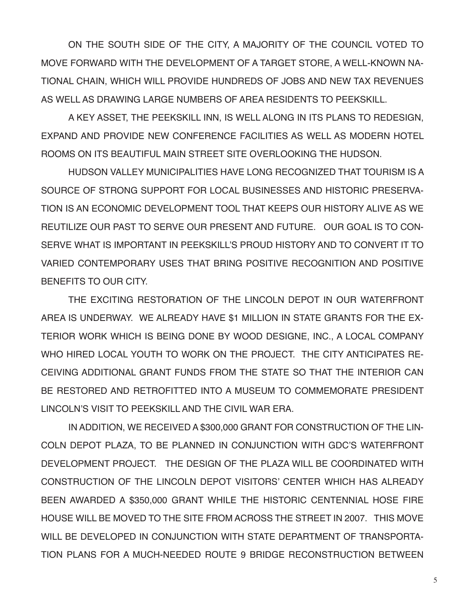ON THE SOUTH SIDE OF THE CITY, A MAJORITY OF THE COUNCIL VOTED TO MOVE FORWARD WITH THE DEVELOPMENT OF A TARGET STORE, A WELL-KNOWN NA-TIONAL CHAIN, WHICH WILL PROVIDE HUNDREDS OF JOBS AND NEW TAX REVENUES AS WELL AS DRAWING LARGE NUMBERS OF AREA RESIDENTS TO PEEKSKILL.

A KEY ASSET, THE PEEKSKILL INN, IS WELL ALONG IN ITS PLANS TO REDESIGN, EXPAND AND PROVIDE NEW CONFERENCE FACILITIES AS WELL AS MODERN HOTEL ROOMS ON ITS BEAUTIFUL MAIN STREET SITE OVERLOOKING THE HUDSON.

HUDSON VALLEY MUNICIPALITIES HAVE LONG RECOGNIZED THAT TOURISM IS A SOURCE OF STRONG SUPPORT FOR LOCAL BUSINESSES AND HISTORIC PRESERVA-TION IS AN ECONOMIC DEVELOPMENT TOOL THAT KEEPS OUR HISTORY ALIVE AS WE REUTILIZE OUR PAST TO SERVE OUR PRESENT AND FUTURE. OUR GOAL IS TO CON-SERVE WHAT IS IMPORTANT IN PEEKSKILL'S PROUD HISTORY AND TO CONVERT IT TO VARIED CONTEMPORARY USES THAT BRING POSITIVE RECOGNITION AND POSITIVE BENEFITS TO OUR CITY.

THE EXCITING RESTORATION OF THE LINCOLN DEPOT IN OUR WATERFRONT AREA IS UNDERWAY. WE ALREADY HAVE \$1 MILLION IN STATE GRANTS FOR THE EX-TERIOR WORK WHICH IS BEING DONE BY WOOD DESIGNE, INC., A LOCAL COMPANY WHO HIRED LOCAL YOUTH TO WORK ON THE PROJECT. THE CITY ANTICIPATES RE-CEIVING ADDITIONAL GRANT FUNDS FROM THE STATE SO THAT THE INTERIOR CAN BE RESTORED AND RETROFITTED INTO A MUSEUM TO COMMEMORATE PRESIDENT LINCOLN'S VISIT TO PEEKSKILL AND THE CIVIL WAR ERA.

IN ADDITION, WE RECEIVED A \$300,000 GRANT FOR CONSTRUCTION OF THE LIN-COLN DEPOT PLAZA, TO BE PLANNED IN CONJUNCTION WITH GDC'S WATERFRONT DEVELOPMENT PROJECT. THE DESIGN OF THE PLAZA WILL BE COORDINATED WITH CONSTRUCTION OF THE LINCOLN DEPOT VISITORS' CENTER WHICH HAS ALREADY BEEN AWARDED A \$350,000 GRANT WHILE THE HISTORIC CENTENNIAL HOSE FIRE HOUSE WILL BE MOVED TO THE SITE FROM ACROSS THE STREET IN 2007. THIS MOVE WILL BE DEVELOPED IN CONJUNCTION WITH STATE DEPARTMENT OF TRANSPORTA-TION PLANS FOR A MUCH-NEEDED ROUTE 9 BRIDGE RECONSTRUCTION BETWEEN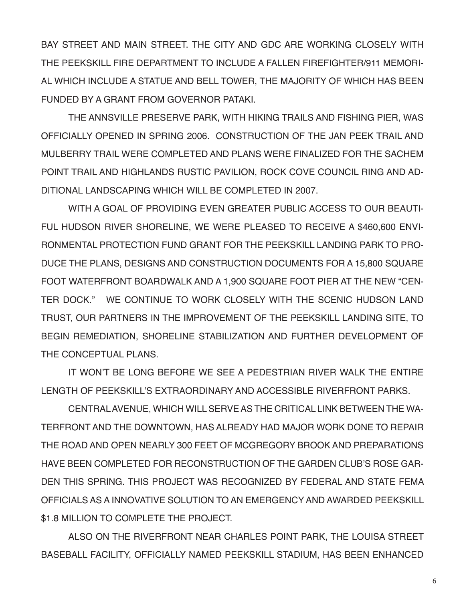BAY STREET AND MAIN STREET. THE CITY AND GDC ARE WORKING CLOSELY WITH THE PEEKSKILL FIRE DEPARTMENT TO INCLUDE A FALLEN FIREFIGHTER/911 MEMORI-AL WHICH INCLUDE A STATUE AND BELL TOWER, THE MAJORITY OF WHICH HAS BEEN FUNDED BY A GRANT FROM GOVERNOR PATAKI.

THE ANNSVILLE PRESERVE PARK, WITH HIKING TRAILS AND FISHING PIER, WAS OFFICIALLY OPENED IN SPRING 2006. CONSTRUCTION OF THE JAN PEEK TRAIL AND MULBERRY TRAIL WERE COMPLETED AND PLANS WERE FINALIZED FOR THE SACHEM POINT TRAIL AND HIGHLANDS RUSTIC PAVILION, ROCK COVE COUNCIL RING AND AD-DITIONAL LANDSCAPING WHICH WILL BE COMPLETED IN 2007.

WITH A GOAL OF PROVIDING EVEN GREATER PUBLIC ACCESS TO OUR BEAUTI-FUL HUDSON RIVER SHORELINE, WE WERE PLEASED TO RECEIVE A \$460,600 ENVI-RONMENTAL PROTECTION FUND GRANT FOR THE PEEKSKILL LANDING PARK TO PRO-DUCE THE PLANS, DESIGNS AND CONSTRUCTION DOCUMENTS FOR A 15,800 SQUARE FOOT WATERFRONT BOARDWALK AND A 1,900 SQUARE FOOT PIER AT THE NEW "CEN-TER DOCK." WE CONTINUE TO WORK CLOSELY WITH THE SCENIC HUDSON LAND TRUST, OUR PARTNERS IN THE IMPROVEMENT OF THE PEEKSKILL LANDING SITE, TO BEGIN REMEDIATION, SHORELINE STABILIZATION AND FURTHER DEVELOPMENT OF THE CONCEPTUAL PLANS.

IT WON'T BE LONG BEFORE WE SEE A PEDESTRIAN RIVER WALK THE ENTIRE LENGTH OF PEEKSKILL'S EXTRAORDINARY AND ACCESSIBLE RIVERFRONT PARKS.

CENTRAL AVENUE, WHICH WILL SERVE AS THE CRITICAL LINK BETWEEN THE WA-TERFRONT AND THE DOWNTOWN, HAS ALREADY HAD MAJOR WORK DONE TO REPAIR THE ROAD AND OPEN NEARLY 300 FEET OF MCGREGORY BROOK AND PREPARATIONS HAVE BEEN COMPLETED FOR RECONSTRUCTION OF THE GARDEN CLUB'S ROSE GAR-DEN THIS SPRING. THIS PROJECT WAS RECOGNIZED BY FEDERAL AND STATE FEMA OFFICIALS AS A INNOVATIVE SOLUTION TO AN EMERGENCY AND AWARDED PEEKSKILL \$1.8 MILLION TO COMPLETE THE PROJECT.

ALSO ON THE RIVERFRONT NEAR CHARLES POINT PARK, THE LOUISA STREET BASEBALL FACILITY, OFFICIALLY NAMED PEEKSKILL STADIUM, HAS BEEN ENHANCED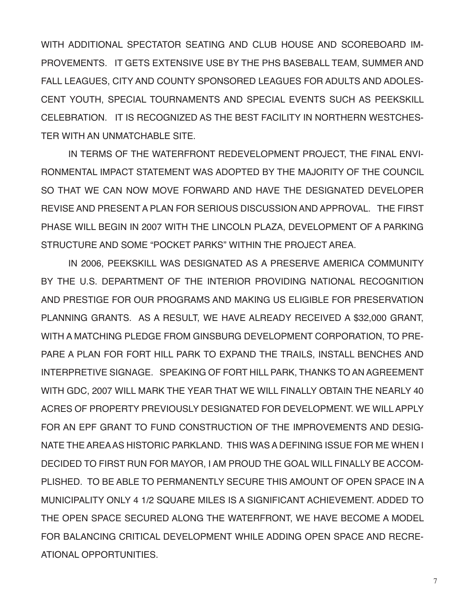WITH ADDITIONAL SPECTATOR SEATING AND CLUB HOUSE AND SCOREBOARD IM-PROVEMENTS. IT GETS EXTENSIVE USE BY THE PHS BASEBALL TEAM, SUMMER AND FALL LEAGUES, CITY AND COUNTY SPONSORED LEAGUES FOR ADULTS AND ADOLES-CENT YOUTH, SPECIAL TOURNAMENTS AND SPECIAL EVENTS SUCH AS PEEKSKILL CELEBRATION. IT IS RECOGNIZED AS THE BEST FACILITY IN NORTHERN WESTCHES-TER WITH AN UNMATCHABLE SITE.

IN TERMS OF THE WATERFRONT REDEVELOPMENT PROJECT, THE FINAL ENVI-RONMENTAL IMPACT STATEMENT WAS ADOPTED BY THE MAJORITY OF THE COUNCIL SO THAT WE CAN NOW MOVE FORWARD AND HAVE THE DESIGNATED DEVELOPER REVISE AND PRESENT A PLAN FOR SERIOUS DISCUSSION AND APPROVAL. THE FIRST PHASE WILL BEGIN IN 2007 WITH THE LINCOLN PLAZA, DEVELOPMENT OF A PARKING STRUCTURE AND SOME "POCKET PARKS" WITHIN THE PROJECT AREA.

IN 2006, PEEKSKILL WAS DESIGNATED AS A PRESERVE AMERICA COMMUNITY BY THE U.S. DEPARTMENT OF THE INTERIOR PROVIDING NATIONAL RECOGNITION AND PRESTIGE FOR OUR PROGRAMS AND MAKING US ELIGIBLE FOR PRESERVATION PLANNING GRANTS. AS A RESULT, WE HAVE ALREADY RECEIVED A \$32,000 GRANT, WITH A MATCHING PLEDGE FROM GINSBURG DEVELOPMENT CORPORATION, TO PRE-PARE A PLAN FOR FORT HILL PARK TO EXPAND THE TRAILS, INSTALL BENCHES AND INTERPRETIVE SIGNAGE. SPEAKING OF FORT HILL PARK, THANKS TO AN AGREEMENT WITH GDC, 2007 WILL MARK THE YEAR THAT WE WILL FINALLY OBTAIN THE NEARLY 40 ACRES OF PROPERTY PREVIOUSLY DESIGNATED FOR DEVELOPMENT. WE WILL APPLY FOR AN EPF GRANT TO FUND CONSTRUCTION OF THE IMPROVEMENTS AND DESIG-NATE THE AREA AS HISTORIC PARKLAND. THIS WAS A DEFINING ISSUE FOR ME WHEN I DECIDED TO FIRST RUN FOR MAYOR, I AM PROUD THE GOAL WILL FINALLY BE ACCOM-PLISHED. TO BE ABLE TO PERMANENTLY SECURE THIS AMOUNT OF OPEN SPACE IN A MUNICIPALITY ONLY 4 1/2 SQUARE MILES IS A SIGNIFICANT ACHIEVEMENT. ADDED TO THE OPEN SPACE SECURED ALONG THE WATERFRONT, WE HAVE BECOME A MODEL FOR BALANCING CRITICAL DEVELOPMENT WHILE ADDING OPEN SPACE AND RECRE-ATIONAL OPPORTUNITIES.

7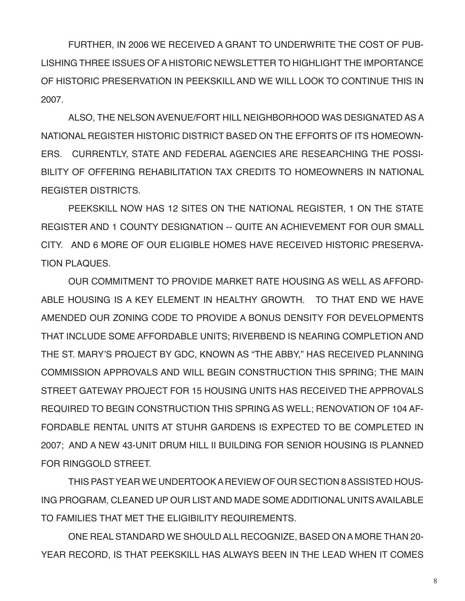FURTHER, IN 2006 WE RECEIVED A GRANT TO UNDERWRITE THE COST OF PUB-LISHING THREE ISSUES OF A HISTORIC NEWSLETTER TO HIGHLIGHT THE IMPORTANCE OF HISTORIC PRESERVATION IN PEEKSKILL AND WE WILL LOOK TO CONTINUE THIS IN 2007.

ALSO, THE NELSON AVENUE/FORT HILL NEIGHBORHOOD WAS DESIGNATED AS A NATIONAL REGISTER HISTORIC DISTRICT BASED ON THE EFFORTS OF ITS HOMEOWN-ERS. CURRENTLY, STATE AND FEDERAL AGENCIES ARE RESEARCHING THE POSSI-BILITY OF OFFERING REHABILITATION TAX CREDITS TO HOMEOWNERS IN NATIONAL REGISTER DISTRICTS.

PEEKSKILL NOW HAS 12 SITES ON THE NATIONAL REGISTER, 1 ON THE STATE REGISTER AND 1 COUNTY DESIGNATION -- QUITE AN ACHIEVEMENT FOR OUR SMALL CITY. AND 6 MORE OF OUR ELIGIBLE HOMES HAVE RECEIVED HISTORIC PRESERVA-TION PLAQUES.

OUR COMMITMENT TO PROVIDE MARKET RATE HOUSING AS WELL AS AFFORD-ABLE HOUSING IS A KEY ELEMENT IN HEALTHY GROWTH. TO THAT END WE HAVE AMENDED OUR ZONING CODE TO PROVIDE A BONUS DENSITY FOR DEVELOPMENTS THAT INCLUDE SOME AFFORDABLE UNITS; RIVERBEND IS NEARING COMPLETION AND THE ST. MARY'S PROJECT BY GDC, KNOWN AS "THE ABBY," HAS RECEIVED PLANNING COMMISSION APPROVALS AND WILL BEGIN CONSTRUCTION THIS SPRING; THE MAIN STREET GATEWAY PROJECT FOR 15 HOUSING UNITS HAS RECEIVED THE APPROVALS REQUIRED TO BEGIN CONSTRUCTION THIS SPRING AS WELL; RENOVATION OF 104 AF-FORDABLE RENTAL UNITS AT STUHR GARDENS IS EXPECTED TO BE COMPLETED IN 2007; AND A NEW 43-UNIT DRUM HILL II BUILDING FOR SENIOR HOUSING IS PLANNED FOR RINGGOLD STREET.

THIS PAST YEAR WE UNDERTOOK A REVIEW OF OUR SECTION 8 ASSISTED HOUS-ING PROGRAM, CLEANED UP OUR LIST AND MADE SOME ADDITIONAL UNITS AVAILABLE TO FAMILIES THAT MET THE ELIGIBILITY REQUIREMENTS.

ONE REAL STANDARD WE SHOULD ALL RECOGNIZE, BASED ON A MORE THAN 20- YEAR RECORD, IS THAT PEEKSKILL HAS ALWAYS BEEN IN THE LEAD WHEN IT COMES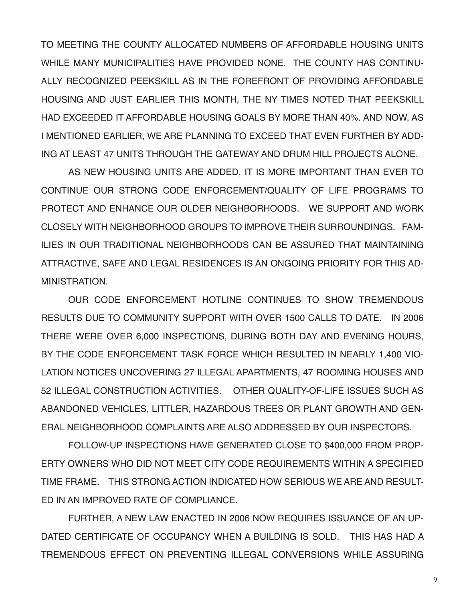TO MEETING THE COUNTY ALLOCATED NUMBERS OF AFFORDABLE HOUSING UNITS WHILE MANY MUNICIPALITIES HAVE PROVIDED NONE. THE COUNTY HAS CONTINU-ALLY RECOGNIZED PEEKSKILL AS IN THE FOREFRONT OF PROVIDING AFFORDABLE HOUSING AND JUST EARLIER THIS MONTH, THE NY TIMES NOTED THAT PEEKSKILL HAD EXCEEDED IT AFFORDABLE HOUSING GOALS BY MORE THAN 40%. AND NOW, AS I MENTIONED EARLIER, WE ARE PLANNING TO EXCEED THAT EVEN FURTHER BY ADD-ING AT LEAST 47 UNITS THROUGH THE GATEWAY AND DRUM HILL PROJECTS ALONE.

AS NEW HOUSING UNITS ARE ADDED, IT IS MORE IMPORTANT THAN EVER TO CONTINUE OUR STRONG CODE ENFORCEMENT/QUALITY OF LIFE PROGRAMS TO PROTECT AND ENHANCE OUR OLDER NEIGHBORHOODS. WE SUPPORT AND WORK CLOSELY WITH NEIGHBORHOOD GROUPS TO IMPROVE THEIR SURROUNDINGS. FAM-ILIES IN OUR TRADITIONAL NEIGHBORHOODS CAN BE ASSURED THAT MAINTAINING ATTRACTIVE, SAFE AND LEGAL RESIDENCES IS AN ONGOING PRIORITY FOR THIS AD-**MINISTRATION** 

OUR CODE ENFORCEMENT HOTLINE CONTINUES TO SHOW TREMENDOUS RESULTS DUE TO COMMUNITY SUPPORT WITH OVER 1500 CALLS TO DATE. IN 2006 THERE WERE OVER 6,000 INSPECTIONS, DURING BOTH DAY AND EVENING HOURS, BY THE CODE ENFORCEMENT TASK FORCE WHICH RESULTED IN NEARLY 1,400 VIO-LATION NOTICES UNCOVERING 27 ILLEGAL APARTMENTS, 47 ROOMING HOUSES AND 52 ILLEGAL CONSTRUCTION ACTIVITIES. OTHER QUALITY-OF-LIFE ISSUES SUCH AS ABANDONED VEHICLES, LITTLER, HAZARDOUS TREES OR PLANT GROWTH AND GEN-ERAL NEIGHBORHOOD COMPLAINTS ARE ALSO ADDRESSED BY OUR INSPECTORS.

FOLLOW-UP INSPECTIONS HAVE GENERATED CLOSE TO \$400,000 FROM PROP-ERTY OWNERS WHO DID NOT MEET CITY CODE REQUIREMENTS WITHIN A SPECIFIED TIME FRAME. THIS STRONG ACTION INDICATED HOW SERIOUS WE ARE AND RESULT-ED IN AN IMPROVED RATE OF COMPLIANCE.

FURTHER, A NEW LAW ENACTED IN 2006 NOW REQUIRES ISSUANCE OF AN UP-DATED CERTIFICATE OF OCCUPANCY WHEN A BUILDING IS SOLD. THIS HAS HAD A TREMENDOUS EFFECT ON PREVENTING ILLEGAL CONVERSIONS WHILE ASSURING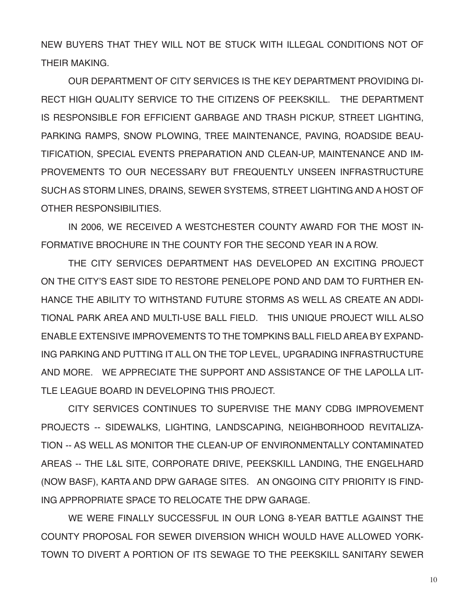NEW BUYERS THAT THEY WILL NOT BE STUCK WITH ILLEGAL CONDITIONS NOT OF THEIR MAKING.

OUR DEPARTMENT OF CITY SERVICES IS THE KEY DEPARTMENT PROVIDING DI-RECT HIGH QUALITY SERVICE TO THE CITIZENS OF PEEKSKILL. THE DEPARTMENT IS RESPONSIBLE FOR EFFICIENT GARBAGE AND TRASH PICKUP, STREET LIGHTING, PARKING RAMPS, SNOW PLOWING, TREE MAINTENANCE, PAVING, ROADSIDE BEAU-TIFICATION, SPECIAL EVENTS PREPARATION AND CLEAN-UP, MAINTENANCE AND IM-PROVEMENTS TO OUR NECESSARY BUT FREQUENTLY UNSEEN INFRASTRUCTURE SUCH AS STORM LINES, DRAINS, SEWER SYSTEMS, STREET LIGHTING AND A HOST OF OTHER RESPONSIBILITIES

IN 2006, WE RECEIVED A WESTCHESTER COUNTY AWARD FOR THE MOST IN-FORMATIVE BROCHURE IN THE COUNTY FOR THE SECOND YEAR IN A ROW.

THE CITY SERVICES DEPARTMENT HAS DEVELOPED AN EXCITING PROJECT ON THE CITY'S EAST SIDE TO RESTORE PENELOPE POND AND DAM TO FURTHER EN-HANCE THE ABILITY TO WITHSTAND FUTURE STORMS AS WELL AS CREATE AN ADDI-TIONAL PARK AREA AND MULTI-USE BALL FIELD. THIS UNIQUE PROJECT WILL ALSO ENABLE EXTENSIVE IMPROVEMENTS TO THE TOMPKINS BALL FIELD AREA BY EXPAND-ING PARKING AND PUTTING IT ALL ON THE TOP LEVEL, UPGRADING INFRASTRUCTURE AND MORE. WE APPRECIATE THE SUPPORT AND ASSISTANCE OF THE LAPOLLA LIT-TLE LEAGUE BOARD IN DEVELOPING THIS PROJECT.

CITY SERVICES CONTINUES TO SUPERVISE THE MANY CDBG IMPROVEMENT PROJECTS -- SIDEWALKS, LIGHTING, LANDSCAPING, NEIGHBORHOOD REVITALIZA-TION -- AS WELL AS MONITOR THE CLEAN-UP OF ENVIRONMENTALLY CONTAMINATED AREAS -- THE L&L SITE, CORPORATE DRIVE, PEEKSKILL LANDING, THE ENGELHARD (NOW BASF), KARTA AND DPW GARAGE SITES. AN ONGOING CITY PRIORITY IS FIND-ING APPROPRIATE SPACE TO RELOCATE THE DPW GARAGE.

WE WERE FINALLY SUCCESSFUL IN OUR LONG 8-YEAR BATTLE AGAINST THE COUNTY PROPOSAL FOR SEWER DIVERSION WHICH WOULD HAVE ALLOWED YORK-TOWN TO DIVERT A PORTION OF ITS SEWAGE TO THE PEEKSKILL SANITARY SEWER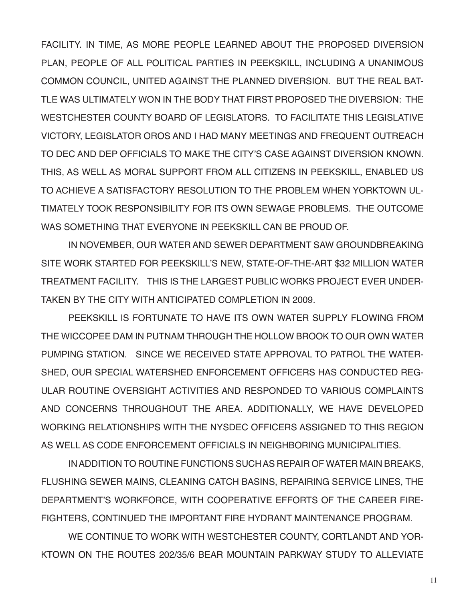FACILITY. IN TIME, AS MORE PEOPLE LEARNED ABOUT THE PROPOSED DIVERSION PLAN, PEOPLE OF ALL POLITICAL PARTIES IN PEEKSKILL, INCLUDING A UNANIMOUS COMMON COUNCIL, UNITED AGAINST THE PLANNED DIVERSION. BUT THE REAL BAT-TLE WAS ULTIMATELY WON IN THE BODY THAT FIRST PROPOSED THE DIVERSION: THE WESTCHESTER COUNTY BOARD OF LEGISLATORS. TO FACILITATE THIS LEGISLATIVE VICTORY, LEGISLATOR OROS AND I HAD MANY MEETINGS AND FREQUENT OUTREACH TO DEC AND DEP OFFICIALS TO MAKE THE CITY'S CASE AGAINST DIVERSION KNOWN. THIS, AS WELL AS MORAL SUPPORT FROM ALL CITIZENS IN PEEKSKILL, ENABLED US TO ACHIEVE A SATISFACTORY RESOLUTION TO THE PROBLEM WHEN YORKTOWN UL-TIMATELY TOOK RESPONSIBILITY FOR ITS OWN SEWAGE PROBLEMS. THE OUTCOME WAS SOMETHING THAT EVERYONE IN PEEKSKILL CAN BE PROUD OF.

IN NOVEMBER, OUR WATER AND SEWER DEPARTMENT SAW GROUNDBREAKING SITE WORK STARTED FOR PEEKSKILL'S NEW, STATE-OF-THE-ART \$32 MILLION WATER TREATMENT FACILITY. THIS IS THE LARGEST PUBLIC WORKS PROJECT EVER UNDER-TAKEN BY THE CITY WITH ANTICIPATED COMPLETION IN 2009.

PEEKSKILL IS FORTUNATE TO HAVE ITS OWN WATER SUPPLY FLOWING FROM THE WICCOPEE DAM IN PUTNAM THROUGH THE HOLLOW BROOK TO OUR OWN WATER PUMPING STATION. SINCE WE RECEIVED STATE APPROVAL TO PATROL THE WATER-SHED, OUR SPECIAL WATERSHED ENFORCEMENT OFFICERS HAS CONDUCTED REG-ULAR ROUTINE OVERSIGHT ACTIVITIES AND RESPONDED TO VARIOUS COMPLAINTS AND CONCERNS THROUGHOUT THE AREA. ADDITIONALLY, WE HAVE DEVELOPED WORKING RELATIONSHIPS WITH THE NYSDEC OFFICERS ASSIGNED TO THIS REGION AS WELL AS CODE ENFORCEMENT OFFICIALS IN NEIGHBORING MUNICIPALITIES.

IN ADDITION TO ROUTINE FUNCTIONS SUCH AS REPAIR OF WATER MAIN BREAKS, FLUSHING SEWER MAINS, CLEANING CATCH BASINS, REPAIRING SERVICE LINES, THE DEPARTMENT'S WORKFORCE, WITH COOPERATIVE EFFORTS OF THE CAREER FIRE-FIGHTERS, CONTINUED THE IMPORTANT FIRE HYDRANT MAINTENANCE PROGRAM.

WE CONTINUE TO WORK WITH WESTCHESTER COUNTY, CORTLANDT AND YOR-KTOWN ON THE ROUTES 202/35/6 BEAR MOUNTAIN PARKWAY STUDY TO ALLEVIATE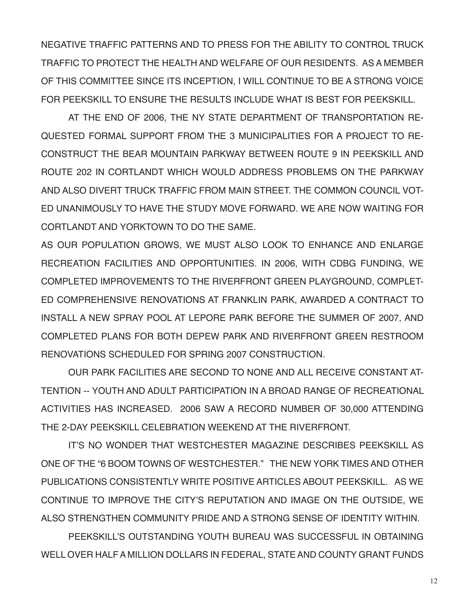NEGATIVE TRAFFIC PATTERNS AND TO PRESS FOR THE ABILITY TO CONTROL TRUCK TRAFFIC TO PROTECT THE HEALTH AND WELFARE OF OUR RESIDENTS. AS A MEMBER OF THIS COMMITTEE SINCE ITS INCEPTION, I WILL CONTINUE TO BE A STRONG VOICE FOR PEEKSKILL TO ENSURE THE RESULTS INCLUDE WHAT IS BEST FOR PEEKSKILL.

AT THE END OF 2006, THE NY STATE DEPARTMENT OF TRANSPORTATION RE-QUESTED FORMAL SUPPORT FROM THE 3 MUNICIPALITIES FOR A PROJECT TO RE-CONSTRUCT THE BEAR MOUNTAIN PARKWAY BETWEEN ROUTE 9 IN PEEKSKILL AND ROUTE 202 IN CORTLANDT WHICH WOULD ADDRESS PROBLEMS ON THE PARKWAY AND ALSO DIVERT TRUCK TRAFFIC FROM MAIN STREET. THE COMMON COUNCIL VOT-ED UNANIMOUSLY TO HAVE THE STUDY MOVE FORWARD. WE ARE NOW WAITING FOR CORTLANDT AND YORKTOWN TO DO THE SAME.

AS OUR POPULATION GROWS, WE MUST ALSO LOOK TO ENHANCE AND ENLARGE RECREATION FACILITIES AND OPPORTUNITIES. IN 2006, WITH CDBG FUNDING, WE COMPLETED IMPROVEMENTS TO THE RIVERFRONT GREEN PLAYGROUND, COMPLET-ED COMPREHENSIVE RENOVATIONS AT FRANKLIN PARK, AWARDED A CONTRACT TO INSTALL A NEW SPRAY POOL AT LEPORE PARK BEFORE THE SUMMER OF 2007, AND COMPLETED PLANS FOR BOTH DEPEW PARK AND RIVERFRONT GREEN RESTROOM RENOVATIONS SCHEDULED FOR SPRING 2007 CONSTRUCTION.

OUR PARK FACILITIES ARE SECOND TO NONE AND ALL RECEIVE CONSTANT AT-TENTION -- YOUTH AND ADULT PARTICIPATION IN A BROAD RANGE OF RECREATIONAL ACTIVITIES HAS INCREASED. 2006 SAW A RECORD NUMBER OF 30,000 ATTENDING THE 2-DAY PEEKSKILL CELEBRATION WEEKEND AT THE RIVERFRONT.

IT'S NO WONDER THAT WESTCHESTER MAGAZINE DESCRIBES PEEKSKILL AS ONE OF THE "6 BOOM TOWNS OF WESTCHESTER." THE NEW YORK TIMES AND OTHER PUBLICATIONS CONSISTENTLY WRITE POSITIVE ARTICLES ABOUT PEEKSKILL. AS WE CONTINUE TO IMPROVE THE CITY'S REPUTATION AND IMAGE ON THE OUTSIDE, WE ALSO STRENGTHEN COMMUNITY PRIDE AND A STRONG SENSE OF IDENTITY WITHIN.

PEEKSKILL'S OUTSTANDING YOUTH BUREAU WAS SUCCESSFUL IN OBTAINING WELL OVER HALF A MILLION DOLLARS IN FEDERAL, STATE AND COUNTY GRANT FUNDS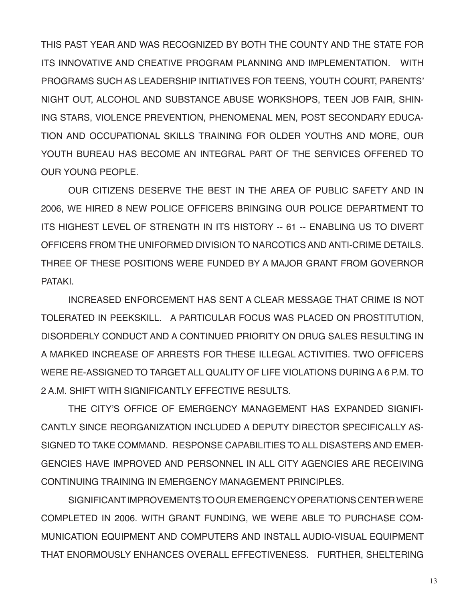THIS PAST YEAR AND WAS RECOGNIZED BY BOTH THE COUNTY AND THE STATE FOR ITS INNOVATIVE AND CREATIVE PROGRAM PLANNING AND IMPLEMENTATION. WITH PROGRAMS SUCH AS LEADERSHIP INITIATIVES FOR TEENS, YOUTH COURT, PARENTS' NIGHT OUT, ALCOHOL AND SUBSTANCE ABUSE WORKSHOPS, TEEN JOB FAIR, SHIN-ING STARS, VIOLENCE PREVENTION, PHENOMENAL MEN, POST SECONDARY EDUCA-TION AND OCCUPATIONAL SKILLS TRAINING FOR OLDER YOUTHS AND MORE, OUR YOUTH BUREAU HAS BECOME AN INTEGRAL PART OF THE SERVICES OFFERED TO OUR YOUNG PEOPLE.

OUR CITIZENS DESERVE THE BEST IN THE AREA OF PUBLIC SAFETY AND IN 2006, WE HIRED 8 NEW POLICE OFFICERS BRINGING OUR POLICE DEPARTMENT TO ITS HIGHEST LEVEL OF STRENGTH IN ITS HISTORY -- 61 -- ENABLING US TO DIVERT OFFICERS FROM THE UNIFORMED DIVISION TO NARCOTICS AND ANTI-CRIME DETAILS. THREE OF THESE POSITIONS WERE FUNDED BY A MAJOR GRANT FROM GOVERNOR **PATAKI** 

INCREASED ENFORCEMENT HAS SENT A CLEAR MESSAGE THAT CRIME IS NOT TOLERATED IN PEEKSKILL. A PARTICULAR FOCUS WAS PLACED ON PROSTITUTION, DISORDERLY CONDUCT AND A CONTINUED PRIORITY ON DRUG SALES RESULTING IN A MARKED INCREASE OF ARRESTS FOR THESE ILLEGAL ACTIVITIES. TWO OFFICERS WERE RE-ASSIGNED TO TARGET ALL QUALITY OF LIFE VIOLATIONS DURING A 6 P.M. TO 2 A.M. SHIFT WITH SIGNIFICANTLY FFFECTIVE RESULTS.

THE CITY'S OFFICE OF EMERGENCY MANAGEMENT HAS EXPANDED SIGNIFI-CANTLY SINCE REORGANIZATION INCLUDED A DEPUTY DIRECTOR SPECIFICALLY AS-SIGNED TO TAKE COMMAND. RESPONSE CAPABILITIES TO ALL DISASTERS AND EMER-GENCIES HAVE IMPROVED AND PERSONNEL IN ALL CITY AGENCIES ARE RECEIVING CONTINUING TRAINING IN EMERGENCY MANAGEMENT PRINCIPLES.

SIGNIFICANT IMPROVEMENTS TO OUR EMERGENCY OPERATIONS CENTER WERE COMPLETED IN 2006. WITH GRANT FUNDING, WE WERE ABLE TO PURCHASE COM-MUNICATION EQUIPMENT AND COMPUTERS AND INSTALL AUDIO-VISUAL EQUIPMENT THAT ENORMOUSLY ENHANCES OVERALL EFFECTIVENESS. FURTHER, SHELTERING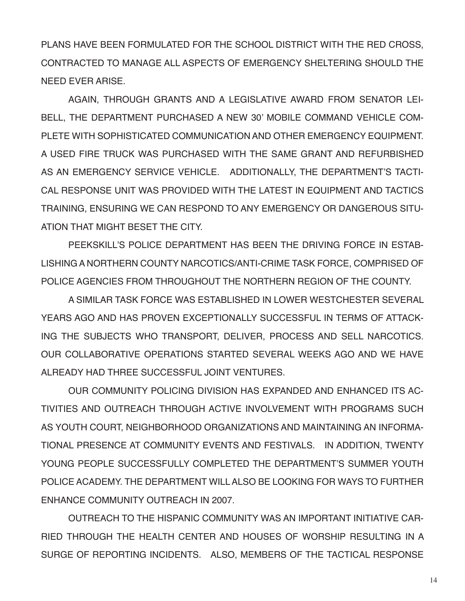PLANS HAVE BEEN FORMULATED FOR THE SCHOOL DISTRICT WITH THE RED CROSS, CONTRACTED TO MANAGE ALL ASPECTS OF EMERGENCY SHELTERING SHOULD THE NEED EVER ARISE.

AGAIN, THROUGH GRANTS AND A LEGISLATIVE AWARD FROM SENATOR LEI-BELL, THE DEPARTMENT PURCHASED A NEW 30' MOBILE COMMAND VEHICLE COM-PLETE WITH SOPHISTICATED COMMUNICATION AND OTHER EMERGENCY EQUIPMENT. A USED FIRE TRUCK WAS PURCHASED WITH THE SAME GRANT AND REFURBISHED AS AN EMERGENCY SERVICE VEHICLE. ADDITIONALLY, THE DEPARTMENT'S TACTI-CAL RESPONSE UNIT WAS PROVIDED WITH THE LATEST IN EQUIPMENT AND TACTICS TRAINING, ENSURING WE CAN RESPOND TO ANY EMERGENCY OR DANGEROUS SITU-ATION THAT MIGHT BESET THE CITY.

PEEKSKILL'S POLICE DEPARTMENT HAS BEEN THE DRIVING FORCE IN ESTAB-LISHING A NORTHERN COUNTY NARCOTICS/ANTI-CRIME TASK FORCE, COMPRISED OF POLICE AGENCIES FROM THROUGHOUT THE NORTHERN REGION OF THE COUNTY.

A SIMILAR TASK FORCE WAS ESTABLISHED IN LOWER WESTCHESTER SEVERAL YEARS AGO AND HAS PROVEN EXCEPTIONALLY SUCCESSFUL IN TERMS OF ATTACK-ING THE SUBJECTS WHO TRANSPORT, DELIVER, PROCESS AND SELL NARCOTICS. OUR COLLABORATIVE OPERATIONS STARTED SEVERAL WEEKS AGO AND WE HAVE ALREADY HAD THREE SUCCESSFUL JOINT VENTURES.

OUR COMMUNITY POLICING DIVISION HAS EXPANDED AND ENHANCED ITS AC-TIVITIES AND OUTREACH THROUGH ACTIVE INVOLVEMENT WITH PROGRAMS SUCH AS YOUTH COURT, NEIGHBORHOOD ORGANIZATIONS AND MAINTAINING AN INFORMA-TIONAL PRESENCE AT COMMUNITY EVENTS AND FESTIVALS. IN ADDITION, TWENTY YOUNG PEOPLE SUCCESSFULLY COMPLETED THE DEPARTMENT'S SUMMER YOUTH POLICE ACADEMY. THE DEPARTMENT WILL ALSO BE LOOKING FOR WAYS TO FURTHER ENHANCE COMMUNITY OUTREACH IN 2007.

OUTREACH TO THE HISPANIC COMMUNITY WAS AN IMPORTANT INITIATIVE CAR-RIED THROUGH THE HEALTH CENTER AND HOUSES OF WORSHIP RESULTING IN A SURGE OF REPORTING INCIDENTS. ALSO, MEMBERS OF THE TACTICAL RESPONSE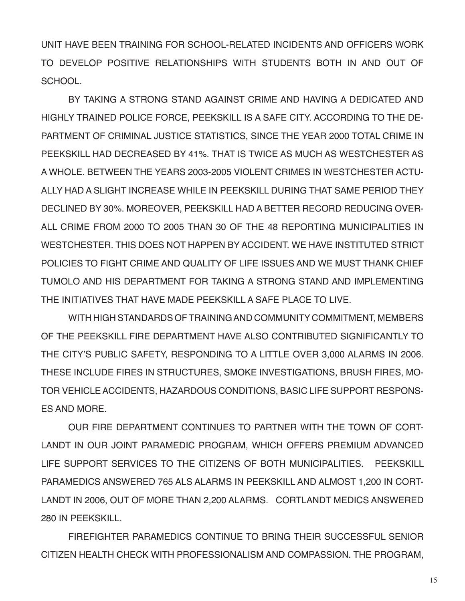UNIT HAVE BEEN TRAINING FOR SCHOOL-RELATED INCIDENTS AND OFFICERS WORK TO DEVELOP POSITIVE RELATIONSHIPS WITH STUDENTS BOTH IN AND OUT OF **SCHOOL** 

BY TAKING A STRONG STAND AGAINST CRIME AND HAVING A DEDICATED AND HIGHLY TRAINED POLICE FORCE, PEEKSKILL IS A SAFE CITY. ACCORDING TO THE DE-PARTMENT OF CRIMINAL JUSTICE STATISTICS, SINCE THE YEAR 2000 TOTAL CRIME IN PEEKSKILL HAD DECREASED BY 41%. THAT IS TWICE AS MUCH AS WESTCHESTER AS A WHOLE. BETWEEN THE YEARS 2003-2005 VIOLENT CRIMES IN WESTCHESTER ACTU-ALLY HAD A SLIGHT INCREASE WHILE IN PEEKSKILL DURING THAT SAME PERIOD THEY DECLINED BY 30%. MOREOVER, PEEKSKILL HAD A BETTER RECORD REDUCING OVER-ALL CRIME FROM 2000 TO 2005 THAN 30 OF THE 48 REPORTING MUNICIPALITIES IN WESTCHESTER. THIS DOES NOT HAPPEN BY ACCIDENT. WE HAVE INSTITUTED STRICT POLICIES TO FIGHT CRIME AND QUALITY OF LIFE ISSUES AND WE MUST THANK CHIEF TUMOLO AND HIS DEPARTMENT FOR TAKING A STRONG STAND AND IMPLEMENTING THE INITIATIVES THAT HAVE MADE PEEKSKILL A SAFE PLACE TO LIVE.

WITH HIGH STANDARDS OF TRAINING AND COMMUNITY COMMITMENT, MEMBERS OF THE PEEKSKILL FIRE DEPARTMENT HAVE ALSO CONTRIBUTED SIGNIFICANTLY TO THE CITY'S PUBLIC SAFETY, RESPONDING TO A LITTLE OVER 3,000 ALARMS IN 2006. THESE INCLUDE FIRES IN STRUCTURES, SMOKE INVESTIGATIONS, BRUSH FIRES, MO-TOR VEHICLE ACCIDENTS, HAZARDOUS CONDITIONS, BASIC LIFE SUPPORT RESPONS-ES AND MORE.

OUR FIRE DEPARTMENT CONTINUES TO PARTNER WITH THE TOWN OF CORT-LANDT IN OUR JOINT PARAMEDIC PROGRAM, WHICH OFFERS PREMIUM ADVANCED LIFE SUPPORT SERVICES TO THE CITIZENS OF BOTH MUNICIPALITIES. PEEKSKILL PARAMEDICS ANSWERED 765 ALS ALARMS IN PEEKSKILL AND ALMOST 1,200 IN CORT-LANDT IN 2006, OUT OF MORE THAN 2,200 ALARMS. CORTLANDT MEDICS ANSWERED 280 IN PEEKSKILL.

FIREFIGHTER PARAMEDICS CONTINUE TO BRING THEIR SUCCESSFUL SENIOR CITIZEN HEALTH CHECK WITH PROFESSIONALISM AND COMPASSION. THE PROGRAM,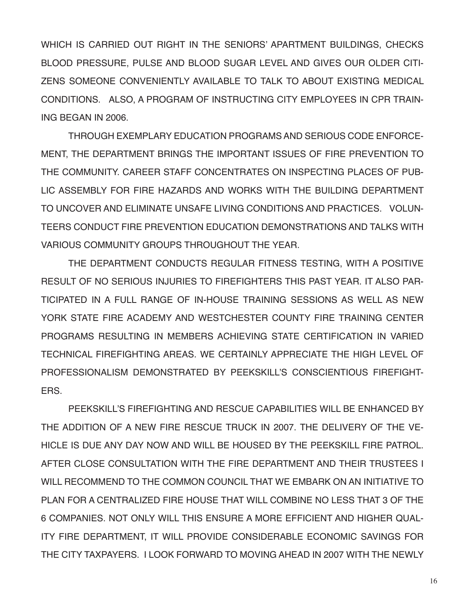WHICH IS CARRIED OUT RIGHT IN THE SENIORS' APARTMENT BUILDINGS, CHECKS BLOOD PRESSURE, PULSE AND BLOOD SUGAR LEVEL AND GIVES OUR OLDER CITI-ZENS SOMEONE CONVENIENTLY AVAILABLE TO TALK TO ABOUT EXISTING MEDICAL CONDITIONS. ALSO, A PROGRAM OF INSTRUCTING CITY EMPLOYEES IN CPR TRAIN-ING BEGAN IN 2006.

 THROUGH EXEMPLARY EDUCATION PROGRAMS AND SERIOUS CODE ENFORCE-MENT, THE DEPARTMENT BRINGS THE IMPORTANT ISSUES OF FIRE PREVENTION TO THE COMMUNITY. CAREER STAFF CONCENTRATES ON INSPECTING PLACES OF PUB-LIC ASSEMBLY FOR FIRE HAZARDS AND WORKS WITH THE BUILDING DEPARTMENT TO UNCOVER AND ELIMINATE UNSAFE LIVING CONDITIONS AND PRACTICES. VOLUN-TEERS CONDUCT FIRE PREVENTION EDUCATION DEMONSTRATIONS AND TALKS WITH VARIOUS COMMUNITY GROUPS THROUGHOUT THE YEAR.

THE DEPARTMENT CONDUCTS REGULAR FITNESS TESTING, WITH A POSITIVE RESULT OF NO SERIOUS INJURIES TO FIREFIGHTERS THIS PAST YEAR. IT ALSO PAR-TICIPATED IN A FULL RANGE OF IN-HOUSE TRAINING SESSIONS AS WELL AS NEW YORK STATE FIRE ACADEMY AND WESTCHESTER COUNTY FIRE TRAINING CENTER PROGRAMS RESULTING IN MEMBERS ACHIEVING STATE CERTIFICATION IN VARIED TECHNICAL FIREFIGHTING AREAS. WE CERTAINLY APPRECIATE THE HIGH LEVEL OF PROFESSIONALISM DEMONSTRATED BY PEEKSKILL'S CONSCIENTIOUS FIREFIGHT-**FRS** 

PEEKSKILL'S FIREFIGHTING AND RESCUE CAPABILITIES WILL BE ENHANCED BY THE ADDITION OF A NEW FIRE RESCUE TRUCK IN 2007. THE DELIVERY OF THE VE-HICLE IS DUE ANY DAY NOW AND WILL BE HOUSED BY THE PEEKSKILL FIRE PATROL. AFTER CLOSE CONSULTATION WITH THE FIRE DEPARTMENT AND THEIR TRUSTEES I WILL RECOMMEND TO THE COMMON COUNCIL THAT WE EMBARK ON AN INITIATIVE TO PLAN FOR A CENTRALIZED FIRE HOUSE THAT WILL COMBINE NO LESS THAT 3 OF THE 6 COMPANIES. NOT ONLY WILL THIS ENSURE A MORE EFFICIENT AND HIGHER QUAL-ITY FIRE DEPARTMENT, IT WILL PROVIDE CONSIDERABLE ECONOMIC SAVINGS FOR THE CITY TAXPAYERS. I LOOK FORWARD TO MOVING AHEAD IN 2007 WITH THE NEWLY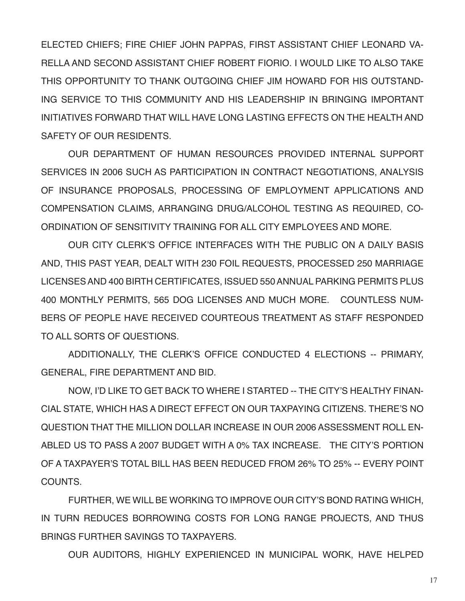ELECTED CHIEFS; FIRE CHIEF JOHN PAPPAS, FIRST ASSISTANT CHIEF LEONARD VA-RELLA AND SECOND ASSISTANT CHIEF ROBERT FIORIO. I WOULD LIKE TO ALSO TAKE THIS OPPORTUNITY TO THANK OUTGOING CHIEF JIM HOWARD FOR HIS OUTSTAND-ING SERVICE TO THIS COMMUNITY AND HIS LEADERSHIP IN BRINGING IMPORTANT INITIATIVES FORWARD THAT WILL HAVE LONG LASTING EFFECTS ON THE HEALTH AND SAFETY OF OUR RESIDENTS.

OUR DEPARTMENT OF HUMAN RESOURCES PROVIDED INTERNAL SUPPORT SERVICES IN 2006 SUCH AS PARTICIPATION IN CONTRACT NEGOTIATIONS, ANALYSIS OF INSURANCE PROPOSALS, PROCESSING OF EMPLOYMENT APPLICATIONS AND COMPENSATION CLAIMS, ARRANGING DRUG/ALCOHOL TESTING AS REQUIRED, CO-ORDINATION OF SENSITIVITY TRAINING FOR ALL CITY EMPLOYEES AND MORE.

OUR CITY CLERK'S OFFICE INTERFACES WITH THE PUBLIC ON A DAILY BASIS AND, THIS PAST YEAR, DEALT WITH 230 FOIL REQUESTS, PROCESSED 250 MARRIAGE LICENSES AND 400 BIRTH CERTIFICATES, ISSUED 550 ANNUAL PARKING PERMITS PLUS 400 MONTHLY PERMITS, 565 DOG LICENSES AND MUCH MORE. COUNTLESS NUM-BERS OF PEOPLE HAVE RECEIVED COURTEOUS TREATMENT AS STAFF RESPONDED TO ALL SORTS OF QUESTIONS.

ADDITIONALLY, THE CLERK'S OFFICE CONDUCTED 4 ELECTIONS -- PRIMARY, GENERAL, FIRE DEPARTMENT AND BID.

NOW, I'D LIKE TO GET BACK TO WHERE I STARTED -- THE CITY'S HEALTHY FINAN-CIAL STATE, WHICH HAS A DIRECT EFFECT ON OUR TAXPAYING CITIZENS. THERE'S NO QUESTION THAT THE MILLION DOLLAR INCREASE IN OUR 2006 ASSESSMENT ROLL EN-ABLED US TO PASS A 2007 BUDGET WITH A 0% TAX INCREASE. THE CITY'S PORTION OF A TAXPAYER'S TOTAL BILL HAS BEEN REDUCED FROM 26% TO 25% -- EVERY POINT COUNTS.

FURTHER, WE WILL BE WORKING TO IMPROVE OUR CITY'S BOND RATING WHICH, IN TURN REDUCES BORROWING COSTS FOR LONG RANGE PROJECTS, AND THUS BRINGS FURTHER SAVINGS TO TAXPAYERS.

OUR AUDITORS, HIGHLY EXPERIENCED IN MUNICIPAL WORK, HAVE HELPED